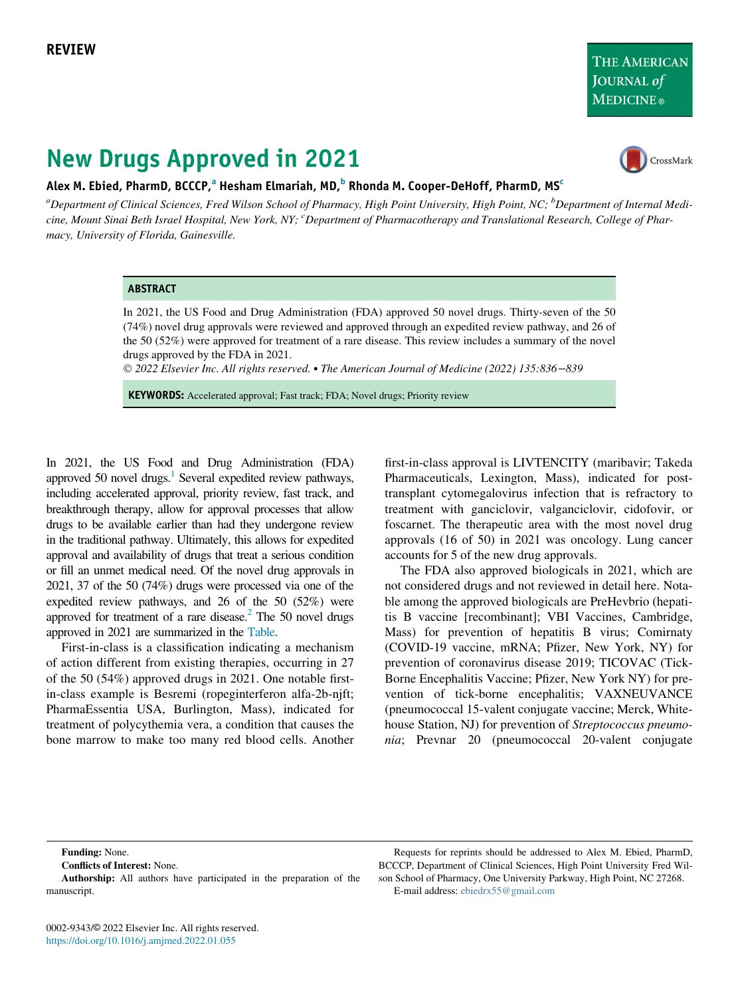# New Drugs Approved in 2021



### Alex M. Ebied, Ph[a](#page-0-0)rmD, BCCCP,<sup>a</sup> Hesham Elmariah, MD,<sup>[b](#page-0-0)</sup> Rhonda M. Cooper-DeHoff, PharmD, MS<sup>[c](#page-0-1)</sup>

<span id="page-0-1"></span><span id="page-0-0"></span><sup>a</sup>Department of Clinical Sciences, Fred Wilson School of Pharmacy, High Point University, High Point, NC; <sup>b</sup>Department of Internal Medicine, Mount Sinai Beth Israel Hospital, New York, NY; <sup>c</sup>Department of Pharmacotherapy and Translational Research, College of Pharmacy, University of Florida, Gainesville.

#### ABSTRACT

In 2021, the US Food and Drug Administration (FDA) approved 50 novel drugs. Thirty-seven of the 50 (74%) novel drug approvals were reviewed and approved through an expedited review pathway, and 26 of the 50 (52%) were approved for treatment of a rare disease. This review includes a summary of the novel drugs approved by the FDA in 2021.

2022 Elsevier Inc. All rights reserved. The American Journal of Medicine (2022) 135:836−839

KEYWORDS: Accelerated approval; Fast track; FDA; Novel drugs; Priority review

In 2021, the US Food and Drug Administration (FDA) approved 50 novel drugs. $\frac{1}{1}$  Several expedited review pathways, including accelerated approval, priority review, fast track, and breakthrough therapy, allow for approval processes that allow drugs to be available earlier than had they undergone review in the traditional pathway. Ultimately, this allows for expedited approval and availability of drugs that treat a serious condition or fill an unmet medical need. Of the novel drug approvals in 2021, 37 of the 50 (74%) drugs were processed via one of the expedited review pathways, and 26 of the 50 (52%) were approved for treatment of a rare disease. $^{2}$  The 50 novel drugs approved in 2021 are summarized in the [Table](#page-1-0).

First-in-class is a classification indicating a mechanism of action different from existing therapies, occurring in 27 of the 50 (54%) approved drugs in 2021. One notable firstin-class example is Besremi (ropeginterferon alfa-2b-njft; PharmaEssentia USA, Burlington, Mass), indicated for treatment of polycythemia vera, a condition that causes the bone marrow to make too many red blood cells. Another

first-in-class approval is LIVTENCITY (maribavir; Takeda Pharmaceuticals, Lexington, Mass), indicated for posttransplant cytomegalovirus infection that is refractory to treatment with ganciclovir, valganciclovir, cidofovir, or foscarnet. The therapeutic area with the most novel drug approvals (16 of 50) in 2021 was oncology. Lung cancer accounts for 5 of the new drug approvals.

The FDA also approved biologicals in 2021, which are not considered drugs and not reviewed in detail here. Notable among the approved biologicals are PreHevbrio (hepatitis B vaccine [recombinant]; VBI Vaccines, Cambridge, Mass) for prevention of hepatitis B virus; Comirnaty (COVID-19 vaccine, mRNA; Pfizer, New York, NY) for prevention of coronavirus disease 2019; TICOVAC (Tick-Borne Encephalitis Vaccine; Pfizer, New York NY) for prevention of tick-borne encephalitis; VAXNEUVANCE (pneumococcal 15-valent conjugate vaccine; Merck, Whitehouse Station, NJ) for prevention of Streptococcus pneumonia; Prevnar 20 (pneumococcal 20-valent conjugate

Funding: None.

Conflicts of Interest: None.

Requests for reprints should be addressed to Alex M. Ebied, PharmD, BCCCP, Department of Clinical Sciences, High Point University Fred Wilson School of Pharmacy, One University Parkway, High Point, NC 27268. E-mail address: [ebiedrx55@gmail.com](mailto:ebiedrx55@gmail.com)

Authorship: All authors have participated in the preparation of the manuscript.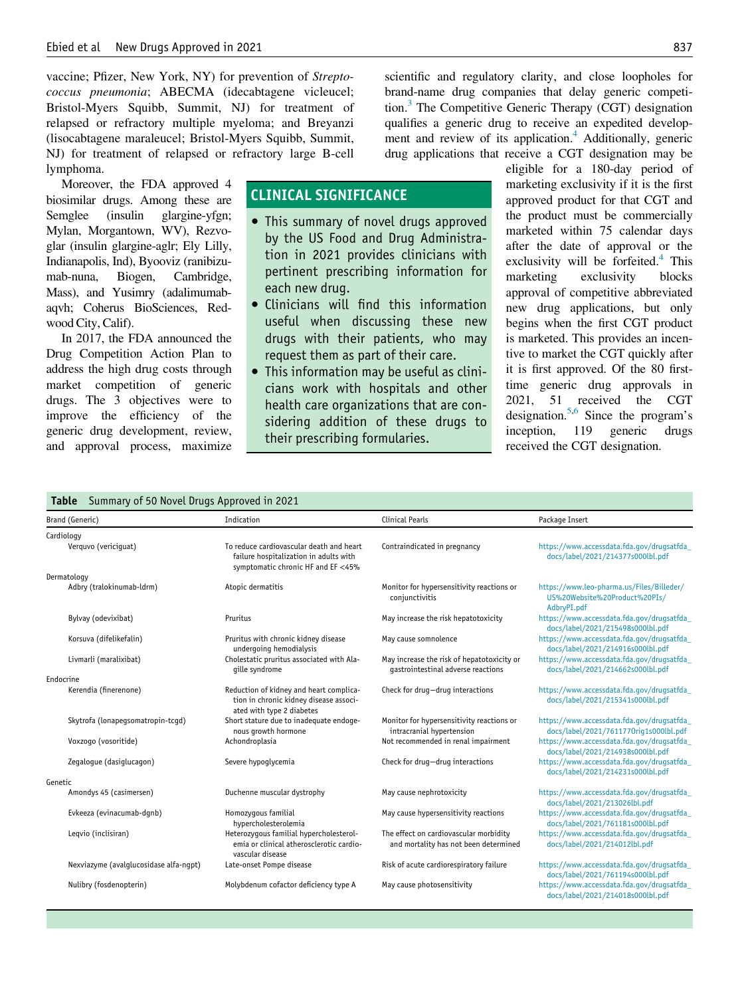vaccine; Pfizer, New York, NY) for prevention of Streptococcus pneumonia; ABECMA (idecabtagene vicleucel; Bristol-Myers Squibb, Summit, NJ) for treatment of relapsed or refractory multiple myeloma; and Breyanzi (lisocabtagene maraleucel; Bristol-Myers Squibb, Summit, NJ) for treatment of relapsed or refractory large B-cell lymphoma.

Moreover, the FDA approved 4 biosimilar drugs. Among these are Semglee (insulin glargine-yfgn; Mylan, Morgantown, WV), Rezvoglar (insulin glargine-aglr; Ely Lilly, Indianapolis, Ind), Byooviz (ranibizumab-nuna, Biogen, Cambridge, Mass), and Yusimry (adalimumabaqvh; Coherus BioSciences, Redwood City, Calif).

In 2017, the FDA announced the Drug Competition Action Plan to address the high drug costs through market competition of generic drugs. The 3 objectives were to improve the efficiency of the generic drug development, review, and approval process, maximize

# CLINICAL SIGNIFICANCE

- This summary of novel drugs approved by the US Food and Drug Administration in 2021 provides clinicians with pertinent prescribing information for each new drug.
- Clinicians will find this information useful when discussing these new drugs with their patients, who may request them as part of their care.
- This information may be useful as clinicians work with hospitals and other health care organizations that are considering addition of these drugs to their prescribing formularies.

scientific and regulatory clarity, and close loopholes for brand-name drug companies that delay generic competition.<sup>3</sup> The Competitive Generic Therapy (CGT) designation qualifies a generic drug to receive an expedited development and review of its application.<sup>4</sup> Additionally, generic drug applications that receive a CGT designation may be

eligible for a 180-day period of marketing exclusivity if it is the first approved product for that CGT and the product must be commercially marketed within 75 calendar days after the date of approval or the exclusivity will be forfeited. $4$  This marketing exclusivity blocks approval of competitive abbreviated new drug applications, but only begins when the first CGT product is marketed. This provides an incentive to market the CGT quickly after it is first approved. Of the 80 firsttime generic drug approvals in 2021, 51 received the CGT designation.<sup>5,[6](#page-3-5)</sup> Since the program's inception, 119 generic drugs received the CGT designation.

#### Table Summary of 50 Novel Drugs Approved in 2021

<span id="page-1-0"></span>

| Brand (Generic)                        | Indication                                                                                                               | <b>Clinical Pearls</b>                                                           | Package Insert                                                                            |
|----------------------------------------|--------------------------------------------------------------------------------------------------------------------------|----------------------------------------------------------------------------------|-------------------------------------------------------------------------------------------|
| Cardiology                             |                                                                                                                          |                                                                                  |                                                                                           |
| Verguvo (vericiquat)                   | To reduce cardiovascular death and heart<br>failure hospitalization in adults with<br>symptomatic chronic HF and EF <45% | Contraindicated in pregnancy                                                     | https://www.accessdata.fda.gov/drugsatfda<br>docs/label/2021/214377s000lbl.pdf            |
| Dermatology                            |                                                                                                                          |                                                                                  |                                                                                           |
| Adbry (tralokinumab-ldrm)              | Atopic dermatitis                                                                                                        | Monitor for hypersensitivity reactions or<br>conjunctivitis                      | https://www.leo-pharma.us/Files/Billeder/<br>US%20Website%20Product%20PIs/<br>AdbryPI.pdf |
| Bylvay (odevixibat)                    | Pruritus                                                                                                                 | May increase the risk hepatotoxicity                                             | https://www.accessdata.fda.gov/drugsatfda<br>docs/label/2021/215498s000lbl.pdf            |
| Korsuva (difelikefalin)                | Pruritus with chronic kidney disease<br>undergoing hemodialysis                                                          | May cause somnolence                                                             | https://www.accessdata.fda.gov/drugsatfda_<br>docs/label/2021/214916s000lbl.pdf           |
| Livmarli (maralixibat)                 | Cholestatic pruritus associated with Ala-<br>gille syndrome                                                              | May increase the risk of hepatotoxicity or<br>gastrointestinal adverse reactions | https://www.accessdata.fda.gov/drugsatfda_<br>docs/label/2021/214662s000lbl.pdf           |
| Endocrine                              |                                                                                                                          |                                                                                  |                                                                                           |
| Kerendia (finerenone)                  | Reduction of kidney and heart complica-<br>tion in chronic kidney disease associ-<br>ated with type 2 diabetes           | Check for drug-drug interactions                                                 | https://www.accessdata.fda.gov/drugsatfda_<br>docs/label/2021/215341s000lbl.pdf           |
| Skytrofa (lonapegsomatropin-tcgd)      | Short stature due to inadequate endoge-<br>nous growth hormone                                                           | Monitor for hypersensitivity reactions or<br>intracranial hypertension           | https://www.accessdata.fda.gov/drugsatfda_<br>docs/label/2021/7611770rig1s000lbl.pdf      |
| Voxzogo (vosoritide)                   | Achondroplasia                                                                                                           | Not recommended in renal impairment                                              | https://www.accessdata.fda.gov/drugsatfda<br>docs/label/2021/214938s000lbl.pdf            |
| Zegalogue (dasiglucagon)               | Severe hypoglycemia                                                                                                      | Check for drug-drug interactions                                                 | https://www.accessdata.fda.gov/drugsatfda<br>docs/label/2021/214231s000lbl.pdf            |
| Genetic                                |                                                                                                                          |                                                                                  |                                                                                           |
| Amondys 45 (casimersen)                | Duchenne muscular dystrophy                                                                                              | May cause nephrotoxicity                                                         | https://www.accessdata.fda.gov/drugsatfda_<br>docs/label/2021/213026lbl.pdf               |
| Evkeeza (evinacumab-dqnb)              | Homozyqous familial<br>hypercholesterolemia                                                                              | May cause hypersensitivity reactions                                             | https://www.accessdata.fda.gov/drugsatfda_<br>docs/label/2021/761181s000lbl.pdf           |
| Legvio (inclisiran)                    | Heterozygous familial hypercholesterol-<br>emia or clinical atherosclerotic cardio-<br>vascular disease                  | The effect on cardiovascular morbidity<br>and mortality has not been determined  | https://www.accessdata.fda.gov/drugsatfda<br>docs/label/2021/214012lbl.pdf                |
| Nexviazyme (avalglucosidase alfa-ngpt) | Late-onset Pompe disease                                                                                                 | Risk of acute cardiorespiratory failure                                          | https://www.accessdata.fda.gov/drugsatfda_<br>docs/label/2021/761194s000lbl.pdf           |
| Nulibry (fosdenopterin)                | Molybdenum cofactor deficiency type A                                                                                    | May cause photosensitivity                                                       | https://www.accessdata.fda.gov/drugsatfda_<br>docs/label/2021/214018s000lbl.pdf           |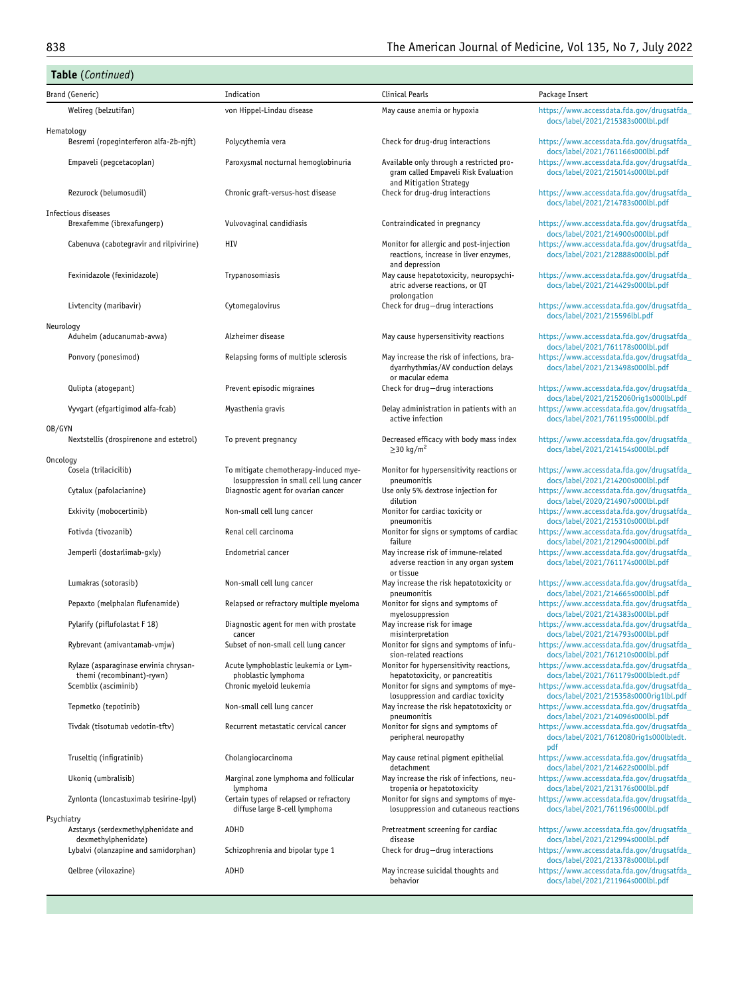|          | Table (Continued)                                                        |                                                                                  |                                                                                                    |                                                                                             |  |  |
|----------|--------------------------------------------------------------------------|----------------------------------------------------------------------------------|----------------------------------------------------------------------------------------------------|---------------------------------------------------------------------------------------------|--|--|
|          | Brand (Generic)                                                          | Indication                                                                       | <b>Clinical Pearls</b>                                                                             | Package Insert                                                                              |  |  |
|          | Welireg (belzutifan)                                                     | von Hippel-Lindau disease                                                        | May cause anemia or hypoxia                                                                        | https://www.accessdata.fda.gov/drugsatfda_<br>docs/label/2021/215383s000lbl.pdf             |  |  |
|          | Hematology<br>Besremi (ropeginterferon alfa-2b-njft)                     | Polycythemia vera                                                                | Check for drug-drug interactions                                                                   | https://www.accessdata.fda.gov/drugsatfda_<br>docs/label/2021/761166s000lbl.pdf             |  |  |
|          | Empaveli (pegcetacoplan)                                                 | Paroxysmal nocturnal hemoglobinuria                                              | Available only through a restricted pro-<br>gram called Empaveli Risk Evaluation                   | https://www.accessdata.fda.gov/drugsatfda_<br>docs/label/2021/215014s000lbl.pdf             |  |  |
|          | Rezurock (belumosudil)                                                   | Chronic graft-versus-host disease                                                | and Mitigation Strategy<br>Check for drug-drug interactions                                        | https://www.accessdata.fda.gov/drugsatfda_<br>docs/label/2021/214783s000lbl.pdf             |  |  |
|          | Infectious diseases<br>Brexafemme (ibrexafungerp)                        | Vulvovaginal candidiasis                                                         | Contraindicated in pregnancy                                                                       | https://www.accessdata.fda.gov/drugsatfda_<br>docs/label/2021/214900s000lbl.pdf             |  |  |
|          | Cabenuva (cabotegravir and rilpivirine)                                  | HIV                                                                              | Monitor for allergic and post-injection<br>reactions, increase in liver enzymes,<br>and depression | https://www.accessdata.fda.gov/drugsatfda_<br>docs/label/2021/212888s000lbl.pdf             |  |  |
|          | Fexinidazole (fexinidazole)                                              | Trypanosomiasis                                                                  | May cause hepatotoxicity, neuropsychi-<br>atric adverse reactions, or QT<br>prolongation           | https://www.accessdata.fda.gov/drugsatfda_<br>docs/label/2021/214429s000lbl.pdf             |  |  |
|          | Livtencity (maribavir)                                                   | Cytomegalovirus                                                                  | Check for drug-drug interactions                                                                   | https://www.accessdata.fda.gov/drugsatfda_<br>docs/label/2021/215596lbl.pdf                 |  |  |
|          | Neurology<br>Aduhelm (aducanumab-avwa)                                   | Alzheimer disease                                                                | May cause hypersensitivity reactions                                                               | https://www.accessdata.fda.gov/drugsatfda_<br>docs/label/2021/761178s000lbl.pdf             |  |  |
|          | Ponvory (ponesimod)                                                      | Relapsing forms of multiple sclerosis                                            | May increase the risk of infections, bra-<br>dyarrhythmias/AV conduction delays                    | https://www.accessdata.fda.gov/drugsatfda_<br>docs/label/2021/213498s000lbl.pdf             |  |  |
|          | Qulipta (atogepant)                                                      | Prevent episodic migraines                                                       | or macular edema<br>Check for drug-drug interactions                                               | https://www.accessdata.fda.gov/drugsatfda_<br>docs/label/2021/2152060rig1s000lbl.pdf        |  |  |
|          | Vyvgart (efgartigimod alfa-fcab)                                         | Myasthenia gravis                                                                | Delay administration in patients with an<br>active infection                                       | https://www.accessdata.fda.gov/drugsatfda<br>docs/label/2021/761195s000lbl.pdf              |  |  |
| OB/GYN   | Nextstellis (drospirenone and estetrol)                                  | To prevent pregnancy                                                             | Decreased efficacy with body mass index<br>$\geq$ 30 kg/m <sup>2</sup>                             | https://www.accessdata.fda.gov/drugsatfda_<br>docs/label/2021/214154s000lbl.pdf             |  |  |
| Oncology | Cosela (trilacicilib)                                                    | To mitigate chemotherapy-induced mye-<br>losuppression in small cell lung cancer | Monitor for hypersensitivity reactions or<br>pneumonitis                                           | https://www.accessdata.fda.gov/drugsatfda_<br>docs/label/2021/214200s000lbl.pdf             |  |  |
|          | Cytalux (pafolacianine)                                                  | Diagnostic agent for ovarian cancer                                              | Use only 5% dextrose injection for<br>dilution                                                     | https://www.accessdata.fda.gov/drugsatfda_<br>docs/label/2020/214907s000lbl.pdf             |  |  |
|          | Exkivity (mobocertinib)                                                  | Non-small cell lung cancer                                                       | Monitor for cardiac toxicity or<br>pneumonitis                                                     | https://www.accessdata.fda.gov/drugsatfda_<br>docs/label/2021/215310s000lbl.pdf             |  |  |
|          | Fotivda (tivozanib)                                                      | Renal cell carcinoma                                                             | Monitor for signs or symptoms of cardiac<br>failure                                                | https://www.accessdata.fda.gov/drugsatfda_<br>docs/label/2021/212904s000lbl.pdf             |  |  |
|          | Jemperli (dostarlimab-gxly)                                              | Endometrial cancer                                                               | May increase risk of immune-related<br>adverse reaction in any organ system<br>or tissue           | https://www.accessdata.fda.gov/drugsatfda_<br>docs/label/2021/761174s000lbl.pdf             |  |  |
|          | Lumakras (sotorasib)                                                     | Non-small cell lung cancer                                                       | May increase the risk hepatotoxicity or<br>pneumonitis                                             | https://www.accessdata.fda.gov/drugsatfda_<br>docs/label/2021/214665s000lbl.pdf             |  |  |
|          | Pepaxto (melphalan flufenamide)                                          | Relapsed or refractory multiple myeloma                                          | Monitor for signs and symptoms of<br>myelosuppression                                              | https://www.accessdata.fda.gov/drugsatfda<br>docs/label/2021/214383s000lbl.pdf              |  |  |
|          | Pylarify (piflufolastat F 18)                                            | Diagnostic agent for men with prostate<br>cancer                                 | May increase risk for image<br>misinterpretation                                                   | https://www.accessdata.fda.gov/drugsatfda_<br>docs/label/2021/214793s000lbl.pdf             |  |  |
|          | Rybrevant (amivantamab-vmjw)                                             | Subset of non-small cell lung cancer                                             | Monitor for signs and symptoms of infu-<br>sion-related reactions                                  | https://www.accessdata.rda.gov/drugsatrda_<br>docs/label/2021/761210s000lbl.pdf             |  |  |
|          | Rylaze (asparaginase erwinia chrysan-<br>themi (recombinant)-rywn)       | Acute lymphoblastic leukemia or Lym-<br>phoblastic lymphoma                      | Monitor for hypersensitivity reactions,<br>hepatotoxicity, or pancreatitis                         | https://www.accessdata.fda.gov/drugsatfda_<br>docs/label/2021/761179s000lbledt.pdf          |  |  |
|          | Scemblix (asciminib)                                                     | Chronic myeloid leukemia                                                         | Monitor for signs and symptoms of mye-<br>losuppression and cardiac toxicity                       | https://www.accessdata.fda.gov/drugsatfda_<br>docs/label/2021/215358s0000rig1lbl.pdf        |  |  |
|          | Tepmetko (tepotinib)                                                     | Non-small cell lung cancer                                                       | May increase the risk hepatotoxicity or<br>pneumonitis                                             | https://www.accessdata.fda.gov/drugsatfda_<br>docs/label/2021/214096s000lbl.pdf             |  |  |
|          | Tivdak (tisotumab vedotin-tftv)                                          | Recurrent metastatic cervical cancer                                             | Monitor for signs and symptoms of<br>peripheral neuropathy                                         | https://www.accessdata.fda.gov/drugsatfda_<br>docs/label/2021/7612080rig1s000lbledt.<br>pdf |  |  |
|          | Truseltiq (infigratinib)                                                 | Cholangiocarcinoma                                                               | May cause retinal pigment epithelial<br>detachment                                                 | https://www.accessdata.fda.gov/drugsatfda_<br>docs/label/2021/214622s000lbl.pdf             |  |  |
|          | Ukoniq (umbralisib)                                                      | Marginal zone lymphoma and follicular<br>lymphoma                                | May increase the risk of infections, neu-<br>tropenia or hepatotoxicity                            | https://www.accessdata.fda.gov/drugsatfda<br>docs/label/2021/213176s000lbl.pdf              |  |  |
|          | Zynlonta (loncastuximab tesirine-lpyl)                                   | Certain types of relapsed or refractory<br>diffuse large B-cell lymphoma         | Monitor for signs and symptoms of mye-<br>losuppression and cutaneous reactions                    | https://www.accessdata.fda.gov/drugsatfda_<br>docs/label/2021/761196s000lbl.pdf             |  |  |
|          | Psychiatry<br>Azstarys (serdexmethylphenidate and<br>dexmethylphenidate) | ADHD                                                                             | Pretreatment screening for cardiac<br>disease                                                      | https://www.accessdata.fda.gov/drugsatfda_<br>docs/label/2021/212994s000lbl.pdf             |  |  |
|          | Lybalvi (olanzapine and samidorphan)                                     | Schizophrenia and bipolar type 1                                                 | Check for drug-drug interactions                                                                   | https://www.accessdata.fda.gov/drugsatfda_<br>docs/label/2021/213378s000lbl.pdf             |  |  |
|          | Qelbree (viloxazine)                                                     | ADHD                                                                             | May increase suicidal thoughts and<br>behavior                                                     | https://www.accessdata.fda.gov/drugsatfda_<br>docs/label/2021/211964s000lbl.pdf             |  |  |